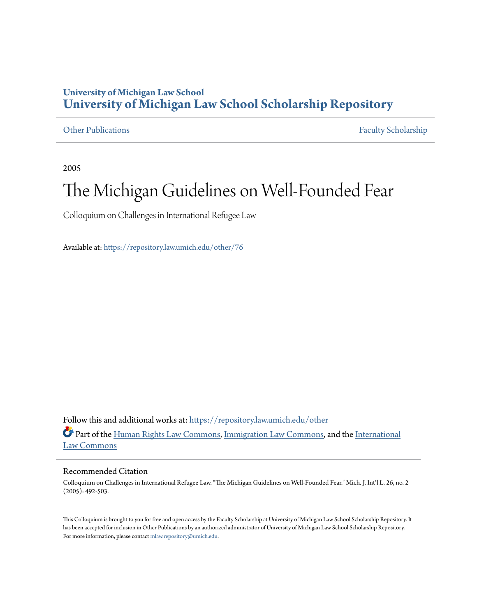# **University of Michigan Law School [University of Michigan Law School Scholarship Repository](https://repository.law.umich.edu?utm_source=repository.law.umich.edu%2Fother%2F76&utm_medium=PDF&utm_campaign=PDFCoverPages)**

[Other Publications](https://repository.law.umich.edu/other?utm_source=repository.law.umich.edu%2Fother%2F76&utm_medium=PDF&utm_campaign=PDFCoverPages) [Faculty Scholarship](https://repository.law.umich.edu/faculty_scholarship?utm_source=repository.law.umich.edu%2Fother%2F76&utm_medium=PDF&utm_campaign=PDFCoverPages)

2005

# The Michigan Guidelines on Well-Founded Fear

Colloquium on Challenges in International Refugee Law

Available at: <https://repository.law.umich.edu/other/76>

Follow this and additional works at: [https://repository.law.umich.edu/other](https://repository.law.umich.edu/other?utm_source=repository.law.umich.edu%2Fother%2F76&utm_medium=PDF&utm_campaign=PDFCoverPages) Part of the [Human Rights Law Commons,](http://network.bepress.com/hgg/discipline/847?utm_source=repository.law.umich.edu%2Fother%2F76&utm_medium=PDF&utm_campaign=PDFCoverPages) [Immigration Law Commons](http://network.bepress.com/hgg/discipline/604?utm_source=repository.law.umich.edu%2Fother%2F76&utm_medium=PDF&utm_campaign=PDFCoverPages), and the [International](http://network.bepress.com/hgg/discipline/609?utm_source=repository.law.umich.edu%2Fother%2F76&utm_medium=PDF&utm_campaign=PDFCoverPages) [Law Commons](http://network.bepress.com/hgg/discipline/609?utm_source=repository.law.umich.edu%2Fother%2F76&utm_medium=PDF&utm_campaign=PDFCoverPages)

#### Recommended Citation

Colloquium on Challenges in International Refugee Law. "The Michigan Guidelines on Well-Founded Fear." Mich. J. Int'l L. 26, no. 2 (2005): 492-503.

This Colloquium is brought to you for free and open access by the Faculty Scholarship at University of Michigan Law School Scholarship Repository. It has been accepted for inclusion in Other Publications by an authorized administrator of University of Michigan Law School Scholarship Repository. For more information, please contact [mlaw.repository@umich.edu](mailto:mlaw.repository@umich.edu).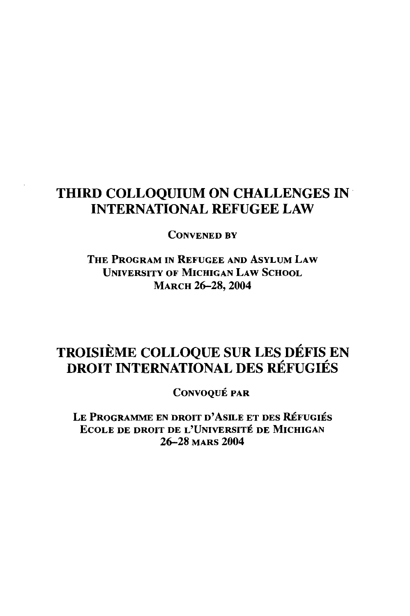# THIRD COLLOQUIUM ON CHALLENGES IN· INTERNATIONAL REFUGEE LAW

CONVENED BY

THE PROGRAM IN REFUGEE AND ASYLUM LAW UNIVERSITY OF MICHIGAN LAW SCHOOL MARCH 26-28, 2004

# TROISIEME COLLOQUE SUR LES DEFIS EN DROIT INTERNATIONAL DES RÉFUGIÉS

CONVOQUE PAR

LE PROGRAMME EN DROIT D'ASILE ET DES RÉFUGIÉS ECOLE DE DROIT DE L'UNIVERSITÉ DE MICHIGAN 26-28 MARS 2004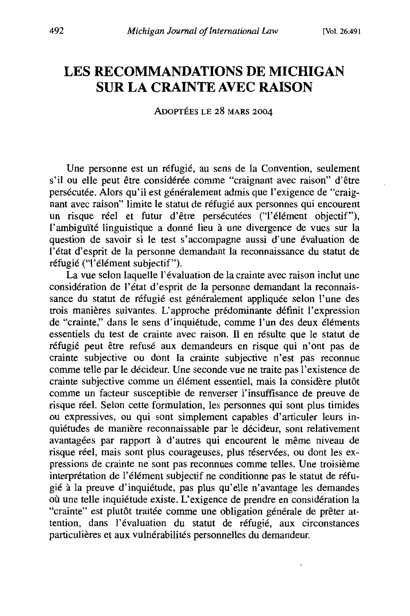# **LES RECOMMANDATIONS DE MICHIGAN SUR LA CRAINTE AVEC RAISON**

ADOPTÉES LE 28 MARS 2004

Une personne est un réfugié, au sens de la Convention, seulement s'il ou elle peut être considérée comme "craignant avec raison" d'être persécutée. Alors qu'il est généralement admis que l'exigence de "craignant avec raison" limite le statut de refugie aux personnes qui encourent un risque réel et futur d'être persécutées ("l'élément objectif"), l' ambiguite linguistique a donne lieu a une divergence de vues sur la question de savoir si le test s'accompagne aussi d'une évaluation de l'etat d'esprit de la personne demandant la reconnaissance du statut de réfugié ("l'élément subjectif").

La vue selon laquelle l'évaluation de la crainte avec raison inclut une considération de l'état d'esprit de la personne demandant la reconnaissance du statut de réfugié est généralement appliquée selon l'une des trois manières suivantes. L'approche prédominante définit l'expression de "crainte," dans le sens d'inquiétude, comme l'un des deux éléments essentiels du test de crainte avec raison. Il en résulte que le statut de réfugié peut être refusé aux demandeurs en risque qui n'ont pas de crainte subjective ou dont la crainte subjective n'est pas reconnue comme telle par le decideur. Une seconde vue ne traite pas l' existence de crainte subjective comme un élément essentiel, mais la considère plutôt comme un facteur susceptible de renverser l' insuffisance de preuve de risque réel. Selon cette formulation, les personnes qui sont plus timides ou expressives, ou qui sont simplement capables d'articuler leurs inquiétudes de manière reconnaissable par le décideur, sont relativement avantagées par rapport à d'autres qui encourent le même niveau de risque réel, mais sont plus courageuses, plus réservées, ou dont les expressions de crainte ne sont pas reconnues comme telles. Une troisieme interprétation de l'élément subjectif ne conditionne pas le statut de réfugié à la preuve d'inquiétude, pas plus qu'elle n'avantage les demandes où une telle inquiétude existe. L'exigence de prendre en considération la "crainte" est plutôt traitée comme une obligation générale de prêter attention, dans l'évaluation du statut de réfugié, aux circonstances particulières et aux vulnérabilités personnelles du demandeur.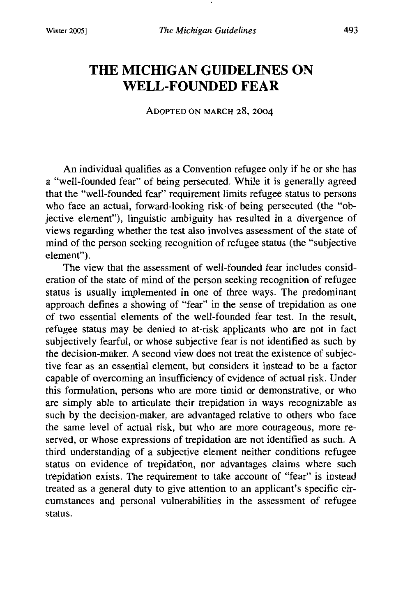# **THE MICHIGAN GUIDELINES ON WELL-FOUNDED FEAR**

#### ADOPTED ON MARCH 28, 2004

An individual qualifies as a Convention refugee only if he or she has a "well-founded fear" of being persecuted. While it is generally agreed that the "well-founded fear" requirement limits refugee status to persons who face an actual, forward-looking risk of being persecuted (the "objective element"), linguistic ambiguity has resulted in a divergence of views regarding whether the test also involves assessment of the state of mind of the person seeking recognition of refugee status (the "subjective element").

The view that the assessment of well-founded fear includes consideration of the state of mind of the person seeking recognition of refugee status is usually implemented in one of three ways. The predominant approach defines a showing of "fear" in the sense of trepidation as one of two essential elements of the well-founded fear test. In the result, refugee status may be denied to at-risk applicants who are not in fact subjectively fearful, or whose subjective fear is not identified as such by the decision-maker. A second view does not treat the existence of subjective fear as an essential element, but considers it instead to be a factor capable of overcoming an insufficiency of evidence of actual risk. Under this formulation, persons who are more timid or demonstrative, or who are simply able to articulate their trepidation in ways recognizable as such by the decision-maker, are advantaged relative to others who face the same level of actual risk, but who are more courageous, more reserved, or whose expressions of trepidation are not identified as such. A third understanding of a subjective element neither conditions refugee status on evidence of trepidation, nor advantages claims where such trepidation exists. The requirement to take account of "fear" is instead treated as a general duty to give attention to an applicant's specific circumstances and personal vulnerabilities in the assessment of refugee status.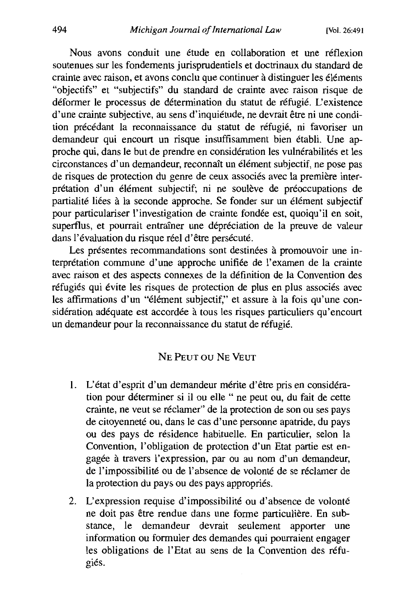Nous avons conduit une étude en collaboration et une réflexion soutenues sur Jes fondements jurisprudentiels et doctrinaux du standard de crainte avec raison, et avons conclu que continuer à distinguer les éléments "objectifs" et "subjectifs" du standard de crainte avec raison risque de déformer le processus de détermination du statut de réfugié. L'existence d'une crainte subjective, au sens d'inquiétude, ne devrait être ni une condition precedant la reconnaissance du statut de refugie, ni favoriser un demandeur qui encourt un risque insuffisamment bien etabli. Une approche qui, dans le but de prendre en considération les vulnérabilités et les circonstances d'un demandeur, reconnaît un élément subjectif, ne pose pas de risques de protection du genre de ceux associés avec la première interprétation d'un élément subjectif; ni ne soulève de préoccupations de partialité liées à la seconde approche. Se fonder sur un élément subjectif pour particulariser !'investigation de crainte fondee est, quoiqu'il en soit, superflus, et pourrait entraîner une dépréciation de la preuve de valeur dans l'évaluation du risque réel d'être persécuté.

Les présentes recommandations sont destinées à promouvoir une interpretation commune d'une approche unifiee de !'examen de la crainte avec raison et des aspects connexes de la definition de la Convention des réfugiés qui évite les risques de protection de plus en plus associés avec les affirmations d'un "élément subjectif," et assure à la fois qu'une considération adéquate est accordée à tous les risques particuliers qu'encourt un demandeur pour la reconnaissance du statut de refugie.

#### NE PEUT OU NE VEUT

- 1. L'état d'esprit d'un demandeur mérite d'être pris en considération pour determiner si il ou elle " ne peut ou, du fait de cette crainte, ne veut se reclamer" de la protection de son ou ses pays de citoyenneté ou, dans le cas d'une personne apatride, du pays OU des pays de residence habituelle. En particulier, selon la Convention, l'obligation de protection d'un Etat partie est engagée à travers l'expression, par ou au nom d'un demandeur, de l'impossibilité ou de l'absence de volonté de se réclamer de la protection du pays ou des pays appropriés.
- 2. L'expression requise d'impossibilité ou d'absence de volonté ne doit pas etre rendue dans une forme particuliere. En substance, le demandeur devrait seulement apporter une information ou formuler des demandes qui pourraient engager les obligations de l'Etat au sens de la Convention des réfugies.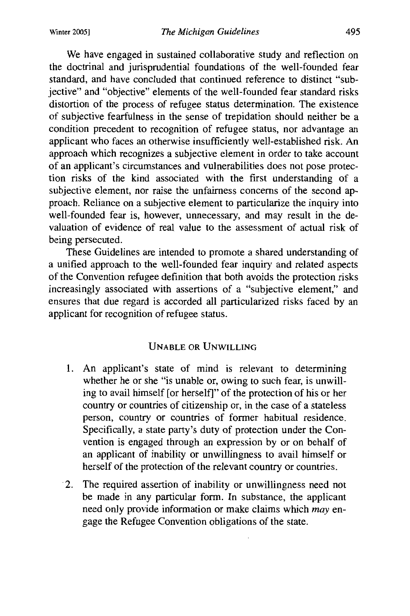We have engaged in sustained collaborative study and reflection on the doctrinal and jurisprudential foundations of the well-founded fear standard, and have concluded that continued reference to distinct "subjective" and "objective" elements of the well-founded fear standard risks distortion of the process of refugee status determination. The existence of subjective fearfulness in the sense of trepidation should neither be a condition precedent to recognition of refugee status, nor advantage an applicant who faces an otherwise insufficiently well-established risk. An approach which recognizes a subjective element in order to take account of an applicant's circumstances and vulnerabilities does not pose protection risks of the kind associated with the first understanding of a subjective element, nor raise the unfairness concerns of the second approach. Reliance on a subjective element to particularize the inquiry into well-founded fear is, however, unnecessary, and may result in the devaluation of evidence of real value to the assessment of actual risk of being persecuted.

These Guidelines are intended to promote a shared understanding of a unified approach to the well-founded fear inquiry and related aspects of the Convention refugee definition that both avoids the protection risks increasingly associated with assertions of a "subjective element," and ensures that due regard is accorded all particularized risks faced by an applicant for recognition of refugee status.

#### UNABLE OR UNWILLING

- 1. An applicant's state of mind is relevant to determining whether he or she "is unable or, owing to such fear, is unwilling to avail himself [or herself]" of the protection of his or her country or countries of citizenship or, in the case of a stateless person, country or countries of former habitual residence. Specifically, a state party's duty of protection under the Convention is engaged through an expression by or on behalf of an applicant of inability or unwillingness to avail himself or herself of the protection of the relevant country or countries.
- · 2. The required assertion of inability or unwillingness need not be made in any particular form. In substance, the applicant need only provide information or make claims which *may* engage the Refugee Convention obligations of the state.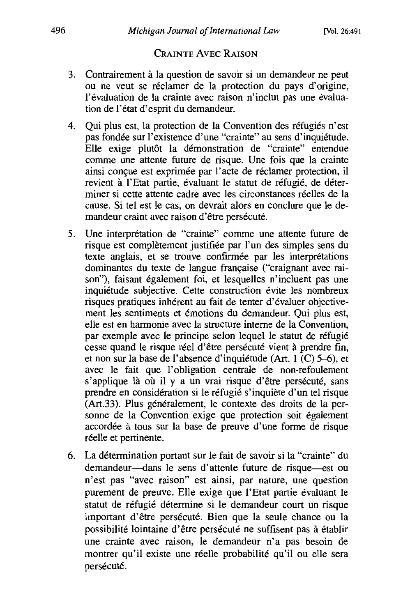### CRAINTE AVEC RAISON

- 3. Contrairement à la question de savoir si un demandeur ne peut ou ne veut se reclamer de la protection du pays d'origine, l'évaluation de la crainte avec raison n'inclut pas une évaluation de l'état d'esprit du demandeur.
- 4. Qui plus est, la protection de la Convention des réfugiés n'est pas fondée sur l'existence d'une "crainte" au sens d'inquiétude. Elle exige plutot la demonstration de "crainte" entendue comme une attente future de risque. Une fois que la crainte ainsi concue est exprimée par l'acte de réclamer protection, il revient à l'Etat partie, évaluant le statut de réfugié, de déterminer si cette attente cadre avec les circonstances réelles de la cause. Si tel est le cas, on devrait alors en conclure que le demandeur craint avec raison d'être persécuté.
- 5. Une interpretation de "crainte" comme une attente future de risque est completement justifiee par l'un des simples sens du texte anglais, et se trouve confirmee par les interpretations dominantes du texte de langue française ("craignant avec raison"), faisant également foi, et lesquelles n'incluent pas une inquiétude subjective. Cette construction évite les nombreux risques pratiques inhérent au fait de tenter d'évaluer objectivement les sentiments et émotions du demandeur. Qui plus est, elle est en harmonie avec la structure interne de la Convention, par exemple avec le principe selon lequel le statut de refugie cesse quand le risque réel d'être persécuté vient à prendre fin, et non sur la base de l'absence d'inquiétude (Art. 1 (C) 5-6), et avec le fait que l'obligation centrale de non-refoulement s'applique là  $\overrightarrow{ou}$  il y a un vrai risque d'être persécuté, sans prendre en consideration si le refugie s'inquiete d'un tel risque (Art.33). Plus généralement, le contexte des droits de la personne de la Convention exige que protection soit egalement accordée à tous sur la base de preuve d'une forme de risque réelle et pertinente.
- 6. La determination portant sur le fait de savoir si la "crainte" du demandeur-dans le sens d'attente future de risque-est ou n' est pas "avec raison" est ainsi, par nature, une question purement de preuve. Elle exige que l'Etat partie évaluant le statut de refugie determine si le demandeur court un risque important d'être persécuté. Bien que la seule chance ou la possibilité lointaine d'être persécuté ne suffisent pas à établir une crainte avec raison, le demandeur n'a pas besoin de montrer qu'il existe une réelle probabilité qu'il ou elle sera persécuté.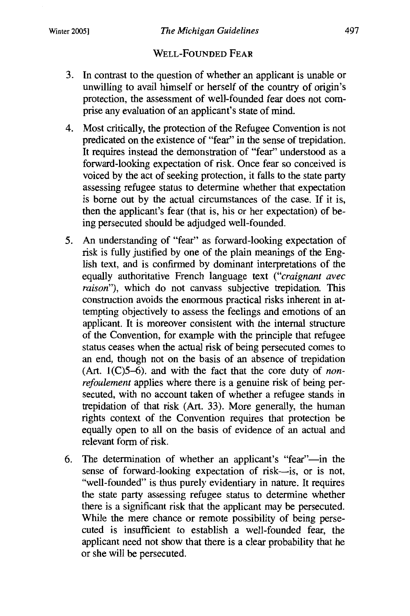#### WELL-FOUNDED FEAR

- 3. In contrast to the question of whether an applicant is unable or unwilling to avail himself or herself of the country of origin's protection, the assessment of well-founded fear does not comprise any evaluation of an applicant's state of mind.
- 4. Most critically, the protection of the Refugee Convention is not predicated on the existence of "fear" in the sense of trepidation. It requires instead the demonstration of "fear" understood as a forward-looking expectation of risk. Once fear so conceived is voiced by the act of seeking protection, it falls to the state party assessing refugee status to determine whether that expectation is borne out by the actual circumstances of the case. If it is, then the applicant's fear (that is, his or her expectation) of being persecuted should be adjudged well-founded.
- 5. An understanding of "fear" as forward-looking expectation of risk is fully justified by one of the plain meanings of the English text, and is confinned by dominant interpretations of the equally authoritative French language text *("craignant avec raison"),* which do not canvass subjective trepidation. This construction avoids the enormous practical risks inherent in attempting objectively to assess the feelings and emotions of an applicant. It is moreover consistent with the internal structure of the Convention, for example with the principle that refugee status ceases when the actual risk of being persecuted comes to an end, though not on the basis of an absence of trepidation (Art. l(C)5-6), and with the fact that the core duty of *nonrefoulement* applies where there is a genuine risk of being persecuted, with no account taken of whether a refugee stands in trepidation of that risk (Art. 33). More generally, the human rights context of the Convention requires that protection be equally open to all on the basis of evidence of an actual and relevant form of risk.
- 6. The determination of whether an applicant's "fear"-in the sense of forward-looking expectation of risk-is, or is not, "well-founded" is thus purely evidentiary in nature. It requires the state party assessing refugee status to determine whether there is a significant risk that the applicant may be persecuted. While the mere chance or remote possibility of being persecuted is insufficient to establish a well-founded fear, the applicant need not show that there is a clear probability that he or she will be persecuted.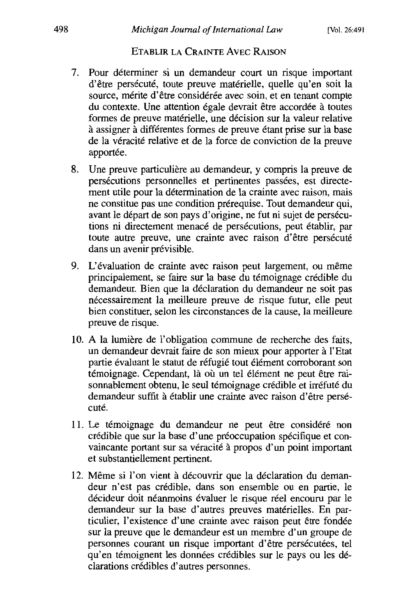#### ETABLIR LA CRAINTE AVEC RAISON

- 7. Pour determiner si un demandeur court un risque important d'être persécuté, toute preuve matérielle, quelle qu'en soit la source, mérite d'être considérée avec soin, et en tenant compte du contexte. Une attention égale devrait être accordée à toutes formes de preuve materielle, une decision sur la valeur relative à assigner à différentes formes de preuve étant prise sur la base de la veracite relative et de la force de conviction de la preuve apportée.
- 8. Une preuve particuliere au demandeur, y compris la preuve de persécutions personnelles et pertinentes passées, est directement utile pour la determination de la crainte avec raison, mais ne constitue pas une condition prerequise. Tout demandeur qui, avant le départ de son pays d'origine, ne fut ni sujet de persécutions ni directement menacé de persécutions, peut établir, par toute autre preuve, une crainte avec raison d'être persécuté dans un avenir prévisible.
- 9. L'évaluation de crainte avec raison peut largement, ou même principalement, se faire sur la base du témoignage crédible du demandeur. Bien que la declaration du demandeur ne soit pas nécessairement la meilleure preuve de risque futur, elle peut bien constituer, selon les circonstances de la cause, la meilleure preuve de risque.
- 10. A la lumiere de l'obligation commune de recherche des faits, un demandeur devrait faire de son mieux pour apporter a l'Etat partie évaluant le statut de réfugié tout élément corroborant son témoignage. Cependant, là où un tel élément ne peut être raisonnablement obtenu, le seul témoignage crédible et irréfuté du demandeur suffit à établir une crainte avec raison d'être persécuté.
- 11. Le témoignage du demandeur ne peut être considéré non credible que sur la base d'une preoccupation specifique et convaincante portant sur sa véracité à propos d'un point important et substantiellement pertinent.
- 12. Même si l'on vient à découvrir que la déclaration du demandeur n' est pas credible, dans son ensemble ou en partie, le décideur doit néanmoins évaluer le risque réel encouru par le demandeur sur la base d'autres preuves materielles. En particulier, l'existence d'une crainte avec raison peut être fondée sur la preuve que le demandeur est un membre d'un groupe de personnes courant un risque important d'être persécutées, tel qu'en témoignent les données crédibles sur le pays ou les déclarations credibles d' autres personnes.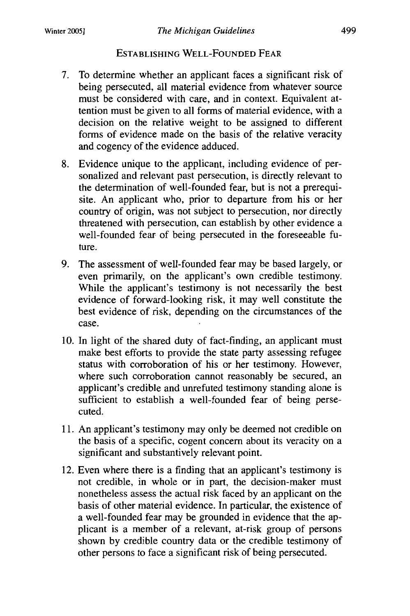#### ESTABLISHING WELL-FOUNDED FEAR

- 7. To determine whether an applicant faces a significant risk of being persecuted, all material evidence from whatever source must be considered with care, and in context. Equivalent attention must be given to all forms of material evidence, with a decision on the relative weight to be assigned to different forms of evidence made on the basis of the relative veracity and cogency of the evidence adduced.
- 8. Evidence unique to the applicant, including evidence of personalized and relevant past persecution, is directly relevant to the determination of well-founded fear, but is not a prerequisite. An applicant who, prior to departure from his or her country of origin, was not subject to persecution, nor directly threatened with persecution, can establish by other evidence a well-founded fear of being persecuted in the foreseeable future.
- 9. The assessment of well-founded fear may be based largely, or even primarily, on the applicant's own credible testimony. While the applicant's testimony is not necessarily the best evidence of forward-looking risk, it may well constitute the best evidence of risk, depending on the circumstances of the case.
- 10. In light of the shared duty of fact-finding, an applicant must make best efforts to provide the state party assessing refugee status with corroboration of his or her testimony. However, where such corroboration cannot reasonably be secured, an applicant's credible and unrefuted testimony standing alone is sufficient to establish a well-founded fear of being persecuted.
- 11. An applicant's testimony may only be deemed not credible on the basis of a specific, cogent concern about its veracity on a significant and substantively relevant point.
- 12. Even where there is a finding that an applicant's testimony is not credible, in whole or in part, the decision-maker must nonetheless assess the actual risk faced by an applicant on the basis of other material evidence. In particular, the existence of a well-founded fear may be grounded in evidence that the applicant is a member of a relevant, at-risk group of persons shown by credible country data or the credible testimony of other persons to face a significant risk of being persecuted.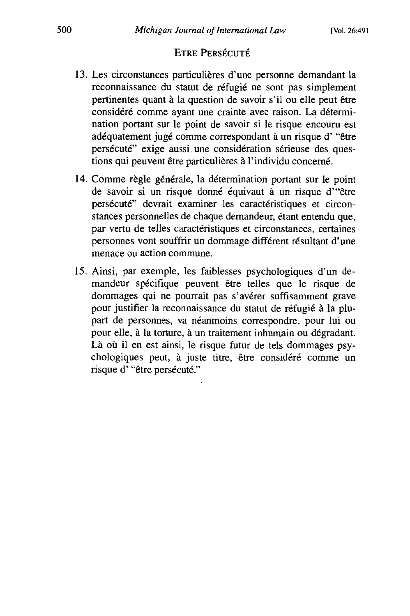#### ETRE PERSÉCUTÉ

- 13. Les circonstances particulieres d'une personne demandant la reconnaissance du statut de refugie ne sont pas simplement pertinentes quant à la question de savoir s'il ou elle peut être considéré comme ayant une crainte avec raison. La détermination portant sur le point de savoir si le risque encouru est adéquatement jugé comme correspondant à un risque d' "être persécuté" exige aussi une considération sérieuse des questions qui peuvent être particulières à l'individu concerné.
- 14. Comme règle générale, la détermination portant sur le point de savoir si un risque donné équivaut à un risque d'"être persécuté" devrait examiner les caractéristiques et circonstances personnelles de chaque demandeur, etant entendu que, par vertu de telles caractéristiques et circonstances, certaines personnes vont souffrir un dommage different resultant d'une menace ou action commune.
- 15. Ainsi, par exemple, les faiblesses psychologiques d'un demandeur spécifique peuvent être telles que le risque de dommages qui ne pourrait pas s'avérer suffisamment grave pour justifier la reconnaissance du statut de refugie a la plupart de personnes, va néanmoins correspondre, pour lui ou pour elle, à la torture, à un traitement inhumain ou dégradant. Là où il en est ainsi, le risque futur de tels dommages psychologiques peut, à juste titre, être considéré comme un risque d' "être persécuté."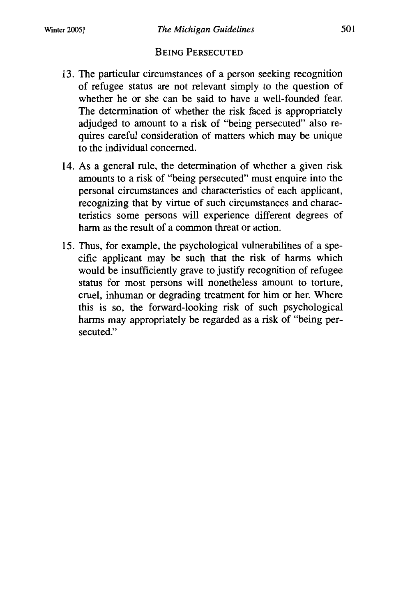#### BEING PERSECUTED

- 13. The particular circumstances of a person seeking recognition of refugee status are not relevant simply to the question of whether he or she can be said to have a well-founded fear. The determination of whether the risk faced is appropriately adjudged to amount to a risk of "being persecuted" also requires careful consideration of matters which may be unique to the individual concerned.
- 14. As a general rule, the determination of whether a given risk amounts to a risk of "being persecuted" must enquire into the personal circumstances and characteristics of each applicant, recognizing that by virtue of such circumstances and characteristics some persons will experience different degrees of harm as the result of a common threat or action.
- 15. Thus, for example, the psychological vulnerabilities of a specific applicant may be such that the risk of harms which would be insufficiently grave to justify recognition of refugee status for most persons will nonetheless amount to torture, cruel, inhuman or degrading treatment for him or her. Where this is so, the forward-looking risk of such psychological harms may appropriately be regarded as a risk of "being persecuted."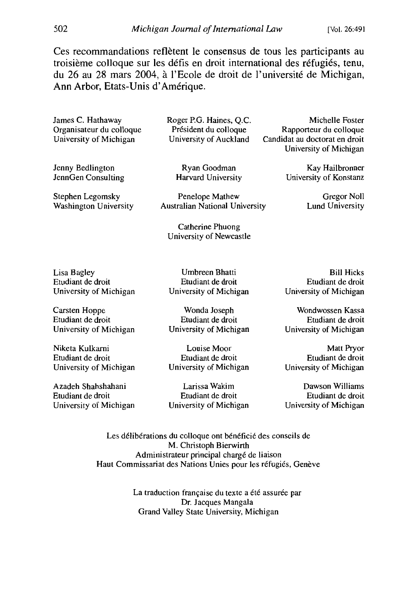Ces recommandations refletent le consensus de tous les participants au troisième colloque sur les défis en droit international des réfugiés, tenu, du 26 au 28 mars 2004, a !'Ecole de droit de l'universite de Michigan, Ann Arbor, Etats-Unis d' Amerique.

| James C. Hathaway<br>Organisateur du colloque<br>University of Michigan | Roger P.G. Haines, Q.C.<br>Président du colloque<br>University of Auckland | Michelle Foster<br>Rapporteur du colloque<br>Candidat au doctorat en droit<br>University of Michigan |
|-------------------------------------------------------------------------|----------------------------------------------------------------------------|------------------------------------------------------------------------------------------------------|
| Jenny Bedlington                                                        | Ryan Goodman                                                               | Kay Hailbronner                                                                                      |
| JennGen Consulting                                                      | Harvard University                                                         | University of Konstanz                                                                               |
| Stephen Legomsky                                                        | Penelope Mathew                                                            | Gregor Noll                                                                                          |
| Washington University                                                   | <b>Australian National University</b>                                      | Lund University                                                                                      |

Lisa Bagley Etudiant de droit University of Michigan

Carsten Hoppe Etudiant de droit University of Michigan

Niketa Kulkarni Etudiant de droit University of Michigan

Azadeh Shahshahani Etudiant de droit University of Michigan

Umbreen Bhatti Etudiant de droit University of Michigan

Catherine Phuong University of Newcastle

Wonda Joseph Etudiant de droit University of Michigan

Louise Moor Etudiant de droit University of Michigan

Larissa Wakim Etudiant de droit University of Michigan

Bill Hicks Etudiant de droit University of Michigan

Wondwossen Kassa Etudiant de droit University of Michigan

Matt Pryor Etudiant de droit University of Michigan

Dawson Williams Etudiant de droit University of Michigan

Les délibérations du colloque ont bénéficié des conseils de M. Christoph Bierwirth Administrateur principal charge de liaison Haut Commissariat des Nations Unies pour les réfugiés, Genève

> La traduction française du texte a été assurée par Dr. Jacques Mangala Grand Valley State University, Michigan